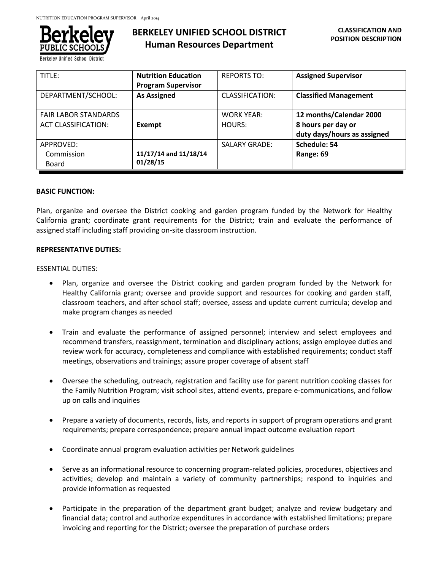

Berkeley Unified School Distric

# **BERKELEY UNIFIED SCHOOL DISTRICT Human Resources Department**

| TITLE:                                                    | <b>Nutrition Education</b><br><b>Program Supervisor</b> | <b>REPORTS TO:</b>          | <b>Assigned Supervisor</b>                                                   |
|-----------------------------------------------------------|---------------------------------------------------------|-----------------------------|------------------------------------------------------------------------------|
| DEPARTMENT/SCHOOL:                                        | <b>As Assigned</b>                                      | CLASSIFICATION:             | <b>Classified Management</b>                                                 |
| <b>FAIR LABOR STANDARDS</b><br><b>ACT CLASSIFICATION:</b> | Exempt                                                  | <b>WORK YEAR:</b><br>HOURS: | 12 months/Calendar 2000<br>8 hours per day or<br>duty days/hours as assigned |
| APPROVED:<br>Commission<br>Board                          | 11/17/14 and 11/18/14<br>01/28/15                       | <b>SALARY GRADE:</b>        | Schedule: 54<br>Range: 69                                                    |

# **BASIC FUNCTION:**

Plan, organize and oversee the District cooking and garden program funded by the Network for Healthy California grant; coordinate grant requirements for the District; train and evaluate the performance of assigned staff including staff providing on-site classroom instruction.

# **REPRESENTATIVE DUTIES:**

#### ESSENTIAL DUTIES:

- Plan, organize and oversee the District cooking and garden program funded by the Network for Healthy California grant; oversee and provide support and resources for cooking and garden staff, classroom teachers, and after school staff; oversee, assess and update current curricula; develop and make program changes as needed
- Train and evaluate the performance of assigned personnel; interview and select employees and recommend transfers, reassignment, termination and disciplinary actions; assign employee duties and review work for accuracy, completeness and compliance with established requirements; conduct staff meetings, observations and trainings; assure proper coverage of absent staff
- Oversee the scheduling, outreach, registration and facility use for parent nutrition cooking classes for the Family Nutrition Program; visit school sites, attend events, prepare e-communications, and follow up on calls and inquiries
- Prepare a variety of documents, records, lists, and reports in support of program operations and grant requirements; prepare correspondence; prepare annual impact outcome evaluation report
- Coordinate annual program evaluation activities per Network guidelines
- Serve as an informational resource to concerning program-related policies, procedures, objectives and activities; develop and maintain a variety of community partnerships; respond to inquiries and provide information as requested
- Participate in the preparation of the department grant budget; analyze and review budgetary and financial data; control and authorize expenditures in accordance with established limitations; prepare invoicing and reporting for the District; oversee the preparation of purchase orders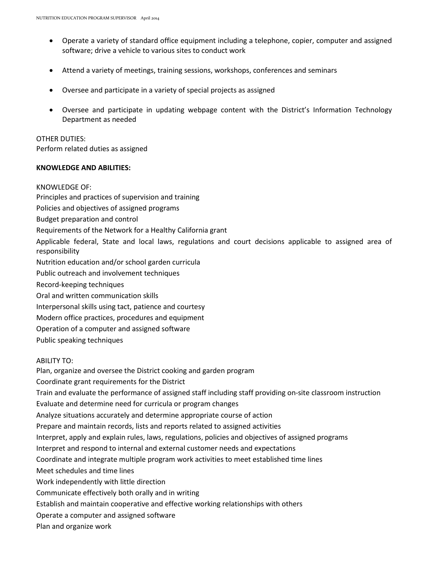- Operate a variety of standard office equipment including a telephone, copier, computer and assigned software; drive a vehicle to various sites to conduct work
- Attend a variety of meetings, training sessions, workshops, conferences and seminars
- Oversee and participate in a variety of special projects as assigned
- Oversee and participate in updating webpage content with the District's Information Technology Department as needed

OTHER DUTIES: Perform related duties as assigned

#### **KNOWLEDGE AND ABILITIES:**

KNOWLEDGE OF: Principles and practices of supervision and training Policies and objectives of assigned programs Budget preparation and control Requirements of the Network for a Healthy California grant Applicable federal, State and local laws, regulations and court decisions applicable to assigned area of responsibility Nutrition education and/or school garden curricula Public outreach and involvement techniques Record-keeping techniques Oral and written communication skills Interpersonal skills using tact, patience and courtesy Modern office practices, procedures and equipment Operation of a computer and assigned software Public speaking techniques ABILITY TO: Plan, organize and oversee the District cooking and garden program Coordinate grant requirements for the District Train and evaluate the performance of assigned staff including staff providing on-site classroom instruction Evaluate and determine need for curricula or program changes Analyze situations accurately and determine appropriate course of action Prepare and maintain records, lists and reports related to assigned activities Interpret, apply and explain rules, laws, regulations, policies and objectives of assigned programs Interpret and respond to internal and external customer needs and expectations

Coordinate and integrate multiple program work activities to meet established time lines

Meet schedules and time lines

Work independently with little direction

Communicate effectively both orally and in writing

Establish and maintain cooperative and effective working relationships with others

Operate a computer and assigned software

Plan and organize work